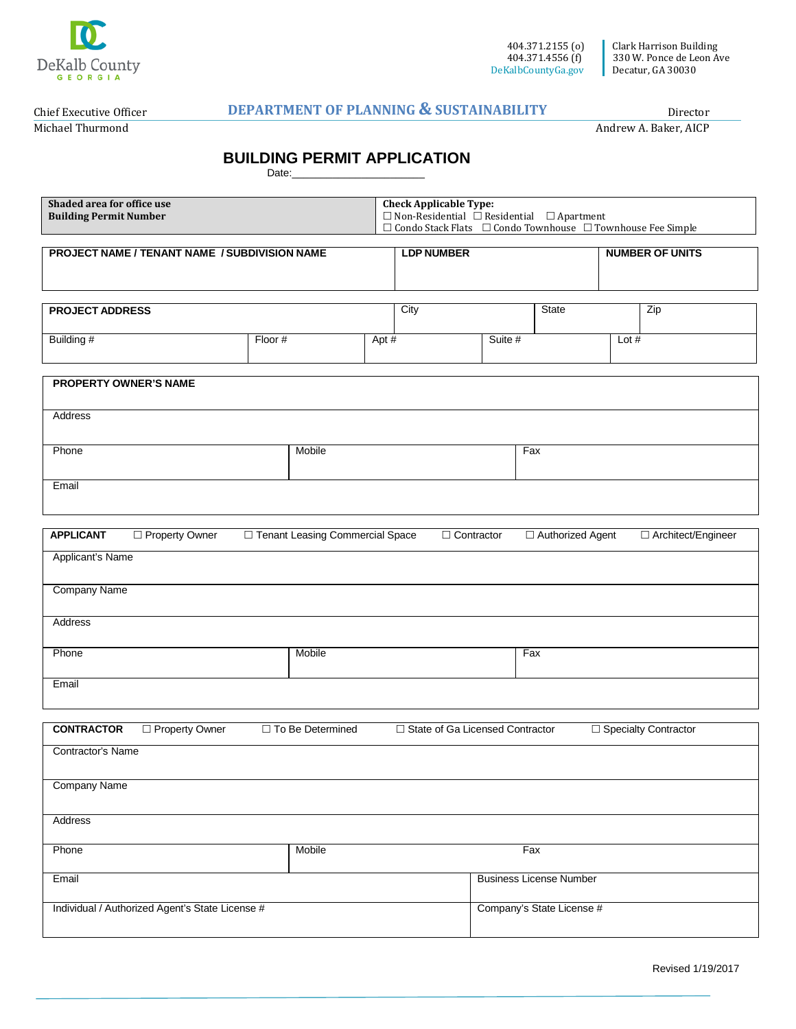

Chief Executive Officer

Michael Thurmond

**Shaded area for office use**

## **DEPARTMENT OF PLANNING & SUSTAINABILITY**

Director

Andrew A. Baker, AICP

## **BUILDING PERMIT APPLICATION**

| Date: |
|-------|
|-------|

| Shaded area for office use                      |                                   | <b>Check Applicable Type:</b>                                               |                                                            |         |                                |         |                        |  |
|-------------------------------------------------|-----------------------------------|-----------------------------------------------------------------------------|------------------------------------------------------------|---------|--------------------------------|---------|------------------------|--|
| <b>Building Permit Number</b>                   |                                   |                                                                             | $\Box$ Non-Residential $\Box$ Residential $\Box$ Apartment |         |                                |         |                        |  |
|                                                 |                                   | $\Box$ Condo Stack Flats $\Box$ Condo Townhouse $\Box$ Townhouse Fee Simple |                                                            |         |                                |         |                        |  |
| PROJECT NAME / TENANT NAME / SUBDIVISION NAME   |                                   |                                                                             | <b>LDP NUMBER</b>                                          |         |                                |         | <b>NUMBER OF UNITS</b> |  |
|                                                 |                                   |                                                                             |                                                            |         |                                |         |                        |  |
|                                                 |                                   |                                                                             |                                                            |         |                                |         |                        |  |
|                                                 |                                   |                                                                             | City                                                       |         | State                          |         | Zip                    |  |
| <b>PROJECT ADDRESS</b>                          |                                   |                                                                             |                                                            |         |                                |         |                        |  |
| Building #                                      | Floor #                           | Apt #                                                                       |                                                            | Suite # |                                | Lot $#$ |                        |  |
|                                                 |                                   |                                                                             |                                                            |         |                                |         |                        |  |
|                                                 |                                   |                                                                             |                                                            |         |                                |         |                        |  |
| <b>PROPERTY OWNER'S NAME</b>                    |                                   |                                                                             |                                                            |         |                                |         |                        |  |
|                                                 |                                   |                                                                             |                                                            |         |                                |         |                        |  |
| Address                                         |                                   |                                                                             |                                                            |         |                                |         |                        |  |
|                                                 |                                   |                                                                             |                                                            |         |                                |         |                        |  |
|                                                 |                                   |                                                                             |                                                            |         |                                |         |                        |  |
| Phone                                           | Mobile                            |                                                                             |                                                            | Fax     |                                |         |                        |  |
|                                                 |                                   |                                                                             |                                                            |         |                                |         |                        |  |
| Email                                           |                                   |                                                                             |                                                            |         |                                |         |                        |  |
|                                                 |                                   |                                                                             |                                                            |         |                                |         |                        |  |
|                                                 |                                   |                                                                             |                                                            |         |                                |         |                        |  |
| <b>APPLICANT</b><br>□ Property Owner            | □ Tenant Leasing Commercial Space |                                                                             | $\Box$ Contractor                                          |         | □ Authorized Agent             |         | □ Architect/Engineer   |  |
| Applicant's Name                                |                                   |                                                                             |                                                            |         |                                |         |                        |  |
|                                                 |                                   |                                                                             |                                                            |         |                                |         |                        |  |
|                                                 |                                   |                                                                             |                                                            |         |                                |         |                        |  |
| <b>Company Name</b>                             |                                   |                                                                             |                                                            |         |                                |         |                        |  |
|                                                 |                                   |                                                                             |                                                            |         |                                |         |                        |  |
| Address                                         |                                   |                                                                             |                                                            |         |                                |         |                        |  |
|                                                 |                                   |                                                                             |                                                            |         |                                |         |                        |  |
| Phone                                           | Mobile                            |                                                                             |                                                            |         | Fax                            |         |                        |  |
|                                                 |                                   |                                                                             |                                                            |         |                                |         |                        |  |
| Email                                           |                                   |                                                                             |                                                            |         |                                |         |                        |  |
|                                                 |                                   |                                                                             |                                                            |         |                                |         |                        |  |
| <b>CONTRACTOR</b><br>□ Property Owner           | □ To Be Determined                |                                                                             | □ State of Ga Licensed Contractor                          |         |                                |         | □ Specialty Contractor |  |
|                                                 |                                   |                                                                             |                                                            |         |                                |         |                        |  |
| Contractor's Name                               |                                   |                                                                             |                                                            |         |                                |         |                        |  |
|                                                 |                                   |                                                                             |                                                            |         |                                |         |                        |  |
| <b>Company Name</b>                             |                                   |                                                                             |                                                            |         |                                |         |                        |  |
|                                                 |                                   |                                                                             |                                                            |         |                                |         |                        |  |
| Address                                         |                                   |                                                                             |                                                            |         |                                |         |                        |  |
|                                                 |                                   |                                                                             |                                                            |         |                                |         |                        |  |
| Phone                                           | Mobile                            |                                                                             |                                                            | Fax     |                                |         |                        |  |
|                                                 |                                   |                                                                             |                                                            |         |                                |         |                        |  |
| Email                                           |                                   |                                                                             |                                                            |         | <b>Business License Number</b> |         |                        |  |
|                                                 |                                   |                                                                             |                                                            |         |                                |         |                        |  |
| Individual / Authorized Agent's State License # |                                   |                                                                             |                                                            |         | Company's State License #      |         |                        |  |
|                                                 |                                   |                                                                             |                                                            |         |                                |         |                        |  |